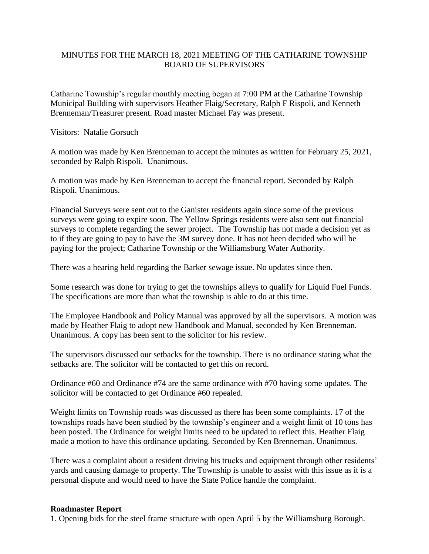## MINUTES FOR THE MARCH 18, 2021 MEETING OF THE CATHARINE TOWNSHIP BOARD OF SUPERVISORS

Catharine Township's regular monthly meeting began at 7:00 PM at the Catharine Township Municipal Building with supervisors Heather Flaig/Secretary, Ralph F Rispoli, and Kenneth Brenneman/Treasurer present. Road master Michael Fay was present.

Visitors: Natalie Gorsuch

A motion was made by Ken Brenneman to accept the minutes as written for February 25, 2021, seconded by Ralph Rispoli. Unanimous.

A motion was made by Ken Brenneman to accept the financial report. Seconded by Ralph Rispoli. Unanimous.

Financial Surveys were sent out to the Ganister residents again since some of the previous surveys were going to expire soon. The Yellow Springs residents were also sent out financial surveys to complete regarding the sewer project. The Township has not made a decision yet as to if they are going to pay to have the 3M survey done. It has not been decided who will be paying for the project; Catharine Township or the Williamsburg Water Authority.

There was a hearing held regarding the Barker sewage issue. No updates since then.

Some research was done for trying to get the townships alleys to qualify for Liquid Fuel Funds. The specifications are more than what the township is able to do at this time.

The Employee Handbook and Policy Manual was approved by all the supervisors. A motion was made by Heather Flaig to adopt new Handbook and Manual, seconded by Ken Brenneman. Unanimous. A copy has been sent to the solicitor for his review.

The supervisors discussed our setbacks for the township. There is no ordinance stating what the setbacks are. The solicitor will be contacted to get this on record.

Ordinance #60 and Ordinance #74 are the same ordinance with #70 having some updates. The solicitor will be contacted to get Ordinance #60 repealed.

Weight limits on Township roads was discussed as there has been some complaints. 17 of the townships roads have been studied by the township's engineer and a weight limit of 10 tons has been posted. The Ordinance for weight limits need to be updated to reflect this. Heather Flaig made a motion to have this ordinance updating. Seconded by Ken Brenneman. Unanimous.

There was a complaint about a resident driving his trucks and equipment through other residents' yards and causing damage to property. The Township is unable to assist with this issue as it is a personal dispute and would need to have the State Police handle the complaint.

## **Roadmaster Report**

1. Opening bids for the steel frame structure with open April 5 by the Williamsburg Borough.